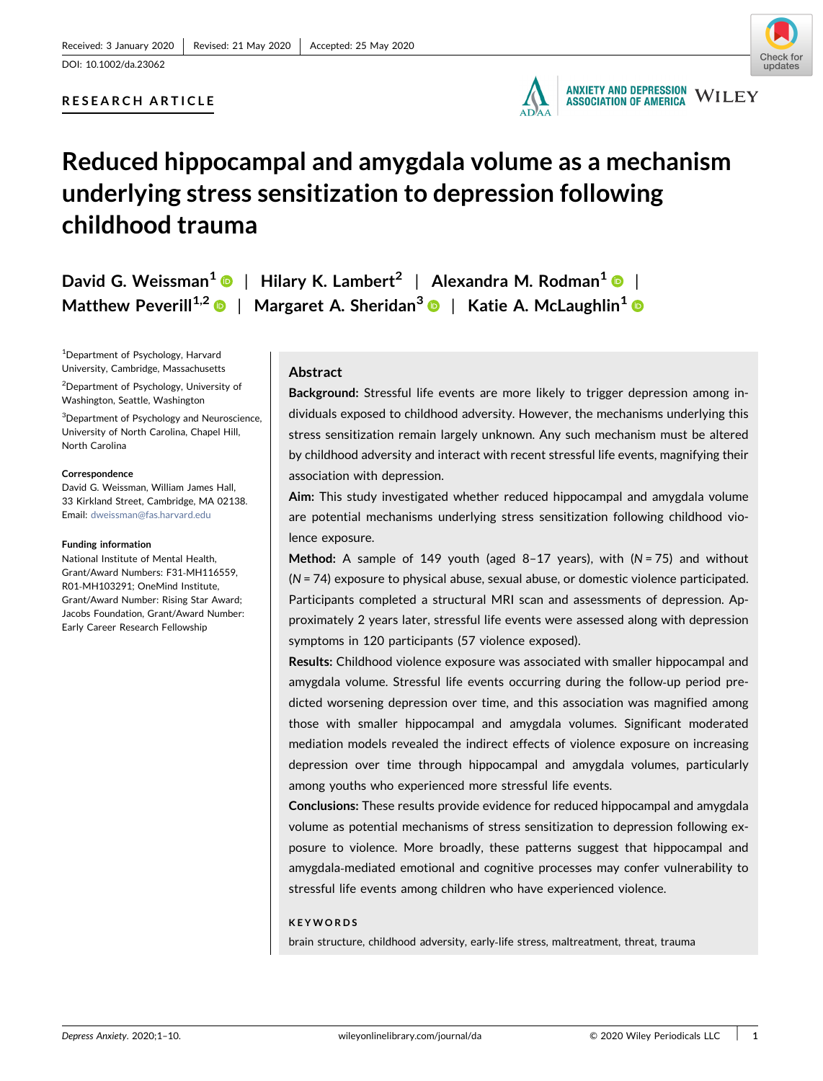# RESEARCH ARTICLE



# Reduced hippocampal and amygdala volume as a mechanism underlying stress sensitization to depression following childhood trauma

David G. Weissman<sup>[1](https://orcid.org/0000-0003-4640-7159)</sup>  $\bullet$  | Hilary K. Lambert<sup>2</sup> | Alexandra M. Rodman<sup>1</sup>  $\bullet$  | Matthew Peverill<sup>1,2</sup> | Margaret A. Sheridan<sup>[3](https://orcid.org/0000-0002-8909-7501)</sup> | Katie A. McLaughlin<sup>[1](https://orcid.org/0000-0002-1362-2410)</sup> ©

1 Department of Psychology, Harvard University, Cambridge, Massachusetts

<sup>2</sup>Department of Psychology, University of Washington, Seattle, Washington

<sup>3</sup>Department of Psychology and Neuroscience, University of North Carolina, Chapel Hill, North Carolina

#### **Correspondence**

David G. Weissman, William James Hall, 33 Kirkland Street, Cambridge, MA 02138. Email: [dweissman@fas.harvard.edu](mailto:dweissman@fas.harvard.edu)

#### Funding information

National Institute of Mental Health, Grant/Award Numbers: F31‐MH116559, R01‐MH103291; OneMind Institute, Grant/Award Number: Rising Star Award; Jacobs Foundation, Grant/Award Number: Early Career Research Fellowship

Abstract

Background: Stressful life events are more likely to trigger depression among individuals exposed to childhood adversity. However, the mechanisms underlying this stress sensitization remain largely unknown. Any such mechanism must be altered by childhood adversity and interact with recent stressful life events, magnifying their association with depression.

Aim: This study investigated whether reduced hippocampal and amygdala volume are potential mechanisms underlying stress sensitization following childhood violence exposure.

Method: A sample of 149 youth (aged  $8-17$  years), with (N = 75) and without (N = 74) exposure to physical abuse, sexual abuse, or domestic violence participated. Participants completed a structural MRI scan and assessments of depression. Approximately 2 years later, stressful life events were assessed along with depression symptoms in 120 participants (57 violence exposed).

Results: Childhood violence exposure was associated with smaller hippocampal and amygdala volume. Stressful life events occurring during the follow‐up period predicted worsening depression over time, and this association was magnified among those with smaller hippocampal and amygdala volumes. Significant moderated mediation models revealed the indirect effects of violence exposure on increasing depression over time through hippocampal and amygdala volumes, particularly among youths who experienced more stressful life events.

Conclusions: These results provide evidence for reduced hippocampal and amygdala volume as potential mechanisms of stress sensitization to depression following exposure to violence. More broadly, these patterns suggest that hippocampal and amygdala‐mediated emotional and cognitive processes may confer vulnerability to stressful life events among children who have experienced violence.

#### KEYWORDS

brain structure, childhood adversity, early‐life stress, maltreatment, threat, trauma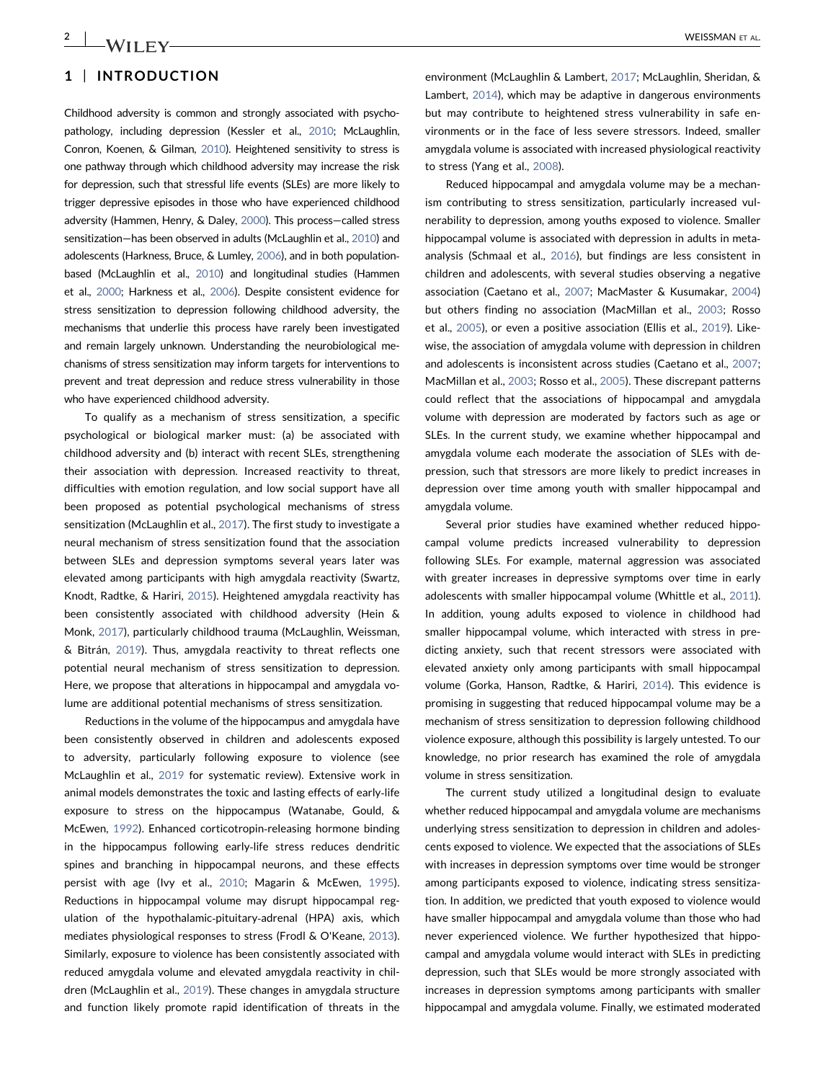# 1 | INTRODUCTION

Childhood adversity is common and strongly associated with psycho-pathology, including depression (Kessler et al., [2010](#page-8-0); McLaughlin, Conron, Koenen, & Gilman, [2010](#page-8-0)). Heightened sensitivity to stress is one pathway through which childhood adversity may increase the risk for depression, such that stressful life events (SLEs) are more likely to trigger depressive episodes in those who have experienced childhood adversity (Hammen, Henry, & Daley, [2000](#page-8-0)). This process—called stress sensitization—has been observed in adults (McLaughlin et al., [2010](#page-8-0)) and adolescents (Harkness, Bruce, & Lumley, [2006\)](#page-8-0), and in both population‐ based (McLaughlin et al., [2010\)](#page-8-0) and longitudinal studies (Hammen et al., [2000;](#page-8-0) Harkness et al., [2006\)](#page-8-0). Despite consistent evidence for stress sensitization to depression following childhood adversity, the mechanisms that underlie this process have rarely been investigated and remain largely unknown. Understanding the neurobiological mechanisms of stress sensitization may inform targets for interventions to prevent and treat depression and reduce stress vulnerability in those who have experienced childhood adversity.

To qualify as a mechanism of stress sensitization, a specific psychological or biological marker must: (a) be associated with childhood adversity and (b) interact with recent SLEs, strengthening their association with depression. Increased reactivity to threat, difficulties with emotion regulation, and low social support have all been proposed as potential psychological mechanisms of stress sensitization (McLaughlin et al., [2017\)](#page-8-0). The first study to investigate a neural mechanism of stress sensitization found that the association between SLEs and depression symptoms several years later was elevated among participants with high amygdala reactivity (Swartz, Knodt, Radtke, & Hariri, [2015](#page-9-0)). Heightened amygdala reactivity has been consistently associated with childhood adversity (Hein & Monk, [2017\)](#page-8-0), particularly childhood trauma (McLaughlin, Weissman, & Bitrán, [2019](#page-9-0)). Thus, amygdala reactivity to threat reflects one potential neural mechanism of stress sensitization to depression. Here, we propose that alterations in hippocampal and amygdala volume are additional potential mechanisms of stress sensitization.

Reductions in the volume of the hippocampus and amygdala have been consistently observed in children and adolescents exposed to adversity, particularly following exposure to violence (see McLaughlin et al., [2019](#page-9-0) for systematic review). Extensive work in animal models demonstrates the toxic and lasting effects of early‐life exposure to stress on the hippocampus (Watanabe, Gould, & McEwen, [1992](#page-9-0)). Enhanced corticotropin‐releasing hormone binding in the hippocampus following early‐life stress reduces dendritic spines and branching in hippocampal neurons, and these effects persist with age (Ivy et al., [2010](#page-8-0); Magarin & McEwen, [1995](#page-8-0)). Reductions in hippocampal volume may disrupt hippocampal regulation of the hypothalamic‐pituitary‐adrenal (HPA) axis, which mediates physiological responses to stress (Frodl & O'Keane, [2013](#page-8-0)). Similarly, exposure to violence has been consistently associated with reduced amygdala volume and elevated amygdala reactivity in children (McLaughlin et al., [2019\)](#page-9-0). These changes in amygdala structure and function likely promote rapid identification of threats in the environment (McLaughlin & Lambert, [2017;](#page-8-0) McLaughlin, Sheridan, & Lambert, [2014](#page-9-0)), which may be adaptive in dangerous environments but may contribute to heightened stress vulnerability in safe environments or in the face of less severe stressors. Indeed, smaller amygdala volume is associated with increased physiological reactivity to stress (Yang et al., [2008](#page-9-0)).

Reduced hippocampal and amygdala volume may be a mechanism contributing to stress sensitization, particularly increased vulnerability to depression, among youths exposed to violence. Smaller hippocampal volume is associated with depression in adults in metaanalysis (Schmaal et al., [2016](#page-9-0)), but findings are less consistent in children and adolescents, with several studies observing a negative association (Caetano et al., [2007](#page-8-0); MacMaster & Kusumakar, [2004](#page-8-0)) but others finding no association (MacMillan et al., [2003](#page-8-0); Rosso et al., [2005\)](#page-9-0), or even a positive association (Ellis et al., [2019](#page-8-0)). Likewise, the association of amygdala volume with depression in children and adolescents is inconsistent across studies (Caetano et al., [2007;](#page-8-0) MacMillan et al., [2003](#page-8-0); Rosso et al., [2005\)](#page-9-0). These discrepant patterns could reflect that the associations of hippocampal and amygdala volume with depression are moderated by factors such as age or SLEs. In the current study, we examine whether hippocampal and amygdala volume each moderate the association of SLEs with depression, such that stressors are more likely to predict increases in depression over time among youth with smaller hippocampal and amygdala volume.

Several prior studies have examined whether reduced hippocampal volume predicts increased vulnerability to depression following SLEs. For example, maternal aggression was associated with greater increases in depressive symptoms over time in early adolescents with smaller hippocampal volume (Whittle et al., [2011](#page-9-0)). In addition, young adults exposed to violence in childhood had smaller hippocampal volume, which interacted with stress in predicting anxiety, such that recent stressors were associated with elevated anxiety only among participants with small hippocampal volume (Gorka, Hanson, Radtke, & Hariri, [2014\)](#page-8-0). This evidence is promising in suggesting that reduced hippocampal volume may be a mechanism of stress sensitization to depression following childhood violence exposure, although this possibility is largely untested. To our knowledge, no prior research has examined the role of amygdala volume in stress sensitization.

The current study utilized a longitudinal design to evaluate whether reduced hippocampal and amygdala volume are mechanisms underlying stress sensitization to depression in children and adolescents exposed to violence. We expected that the associations of SLEs with increases in depression symptoms over time would be stronger among participants exposed to violence, indicating stress sensitization. In addition, we predicted that youth exposed to violence would have smaller hippocampal and amygdala volume than those who had never experienced violence. We further hypothesized that hippocampal and amygdala volume would interact with SLEs in predicting depression, such that SLEs would be more strongly associated with increases in depression symptoms among participants with smaller hippocampal and amygdala volume. Finally, we estimated moderated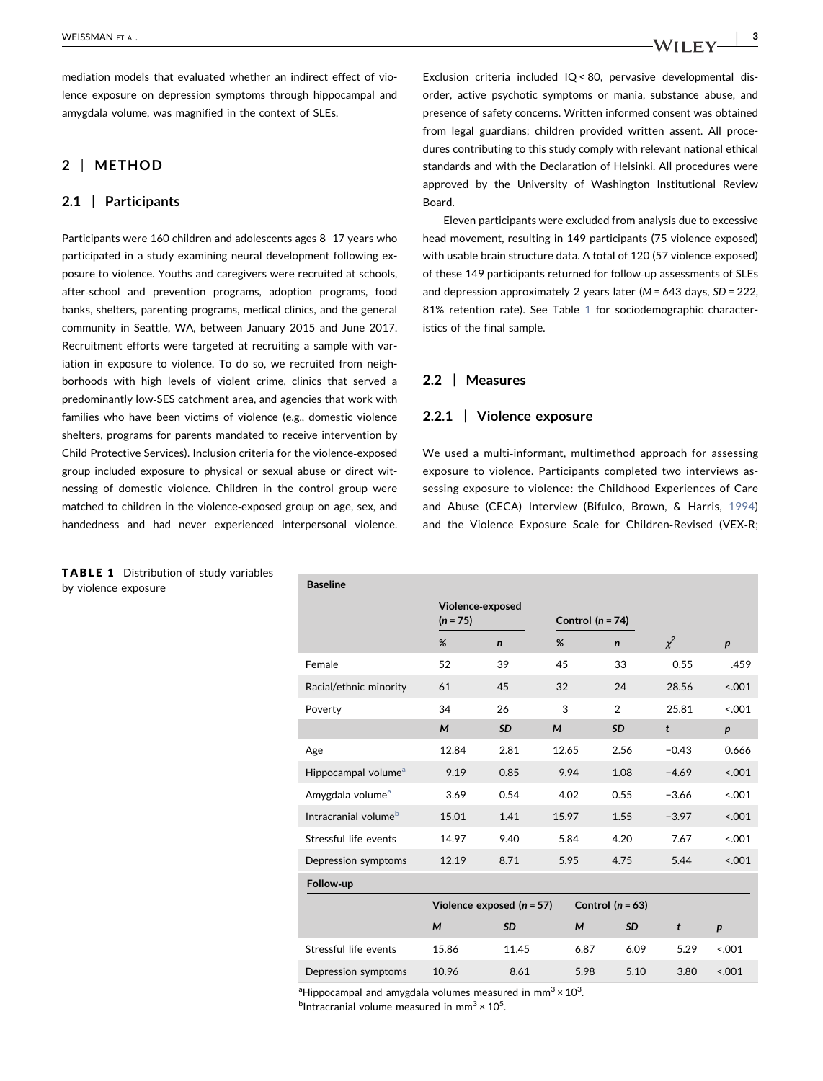mediation models that evaluated whether an indirect effect of violence exposure on depression symptoms through hippocampal and amygdala volume, was magnified in the context of SLEs.

# 2 | METHOD

# 2.1 | Participants

Participants were 160 children and adolescents ages 8–17 years who participated in a study examining neural development following exposure to violence. Youths and caregivers were recruited at schools, after‐school and prevention programs, adoption programs, food banks, shelters, parenting programs, medical clinics, and the general community in Seattle, WA, between January 2015 and June 2017. Recruitment efforts were targeted at recruiting a sample with variation in exposure to violence. To do so, we recruited from neighborhoods with high levels of violent crime, clinics that served a predominantly low‐SES catchment area, and agencies that work with families who have been victims of violence (e.g., domestic violence shelters, programs for parents mandated to receive intervention by Child Protective Services). Inclusion criteria for the violence‐exposed group included exposure to physical or sexual abuse or direct witnessing of domestic violence. Children in the control group were matched to children in the violence‐exposed group on age, sex, and handedness and had never experienced interpersonal violence. Exclusion criteria included IQ < 80, pervasive developmental disorder, active psychotic symptoms or mania, substance abuse, and presence of safety concerns. Written informed consent was obtained from legal guardians; children provided written assent. All procedures contributing to this study comply with relevant national ethical standards and with the Declaration of Helsinki. All procedures were approved by the University of Washington Institutional Review Board.

Eleven participants were excluded from analysis due to excessive head movement, resulting in 149 participants (75 violence exposed) with usable brain structure data. A total of 120 (57 violence‐exposed) of these 149 participants returned for follow‐up assessments of SLEs and depression approximately 2 years later ( $M = 643$  days,  $SD = 222$ , 81% retention rate). See Table [1](#page-2-0) for sociodemographic characteristics of the final sample.

# 2.2 | Measures

## 2.2.1 | Violence exposure

We used a multi-informant, multimethod approach for assessing exposure to violence. Participants completed two interviews assessing exposure to violence: the Childhood Experiences of Care and Abuse (CECA) Interview (Bifulco, Brown, & Harris, [1994](#page-8-0)) and the Violence Exposure Scale for Children‐Revised (VEX‐R;

| <b>Baseline</b>                  |                                |                             |                    |                    |              |                  |
|----------------------------------|--------------------------------|-----------------------------|--------------------|--------------------|--------------|------------------|
|                                  | Violence-exposed<br>$(n = 75)$ |                             | Control $(n = 74)$ |                    |              |                  |
|                                  | %                              | $\mathbf n$                 | %                  | $\mathsf{n}$       | $\chi^2$     | $\boldsymbol{p}$ |
| Female                           | 52                             | 39                          | 45                 | 33                 | 0.55         | .459             |
| Racial/ethnic minority           | 61                             | 45                          | 32                 | 24                 | 28.56        | < .001           |
| Poverty                          | 34                             | 26                          | 3                  | $\overline{2}$     | 25.81        | < 0.001          |
|                                  | M                              | <b>SD</b>                   | M                  | <b>SD</b>          | $\mathbf{t}$ | $\boldsymbol{p}$ |
| Age                              | 12.84                          | 2.81                        | 12.65              | 2.56               | $-0.43$      | 0.666            |
| Hippocampal volume <sup>a</sup>  | 9.19                           | 0.85                        | 9.94               | 1.08               | $-4.69$      | < .001           |
| Amygdala volume <sup>a</sup>     | 3.69                           | 0.54                        | 4.02               | 0.55               | $-3.66$      | < 0.001          |
| Intracranial volume <sup>b</sup> | 15.01                          | 1.41                        | 15.97              | 1.55               | $-3.97$      | < .001           |
| Stressful life events            | 14.97                          | 9.40                        | 5.84               | 4.20               | 7.67         | < .001           |
| Depression symptoms              | 12.19                          | 8.71                        | 5.95               | 4.75               | 5.44         | < 0.001          |
| Follow-up                        |                                |                             |                    |                    |              |                  |
|                                  |                                | Violence exposed $(n = 57)$ |                    | Control $(n = 63)$ |              |                  |
|                                  | M                              | <b>SD</b>                   | M                  | <b>SD</b>          | t            | $\boldsymbol{p}$ |
| Stressful life events            | 15.86                          | 11.45                       | 6.87               | 6.09               | 5.29         | < 0.01           |
| Depression symptoms              | 10.96                          | 8.61                        | 5.98               | 5.10               | 3.80         | < 0.001          |
|                                  |                                |                             |                    |                    |              |                  |

<span id="page-2-1"></span><sup>a</sup>Hippocampal and amygdala volumes measured in mm<sup>3</sup>  $\times$  10<sup>3</sup>.

<span id="page-2-2"></span> $^{b}$ Intracranial volume measured in mm<sup>3</sup> × 10<sup>5</sup>.

<span id="page-2-0"></span>TABLE 1 Distribution of study variables by violence exposure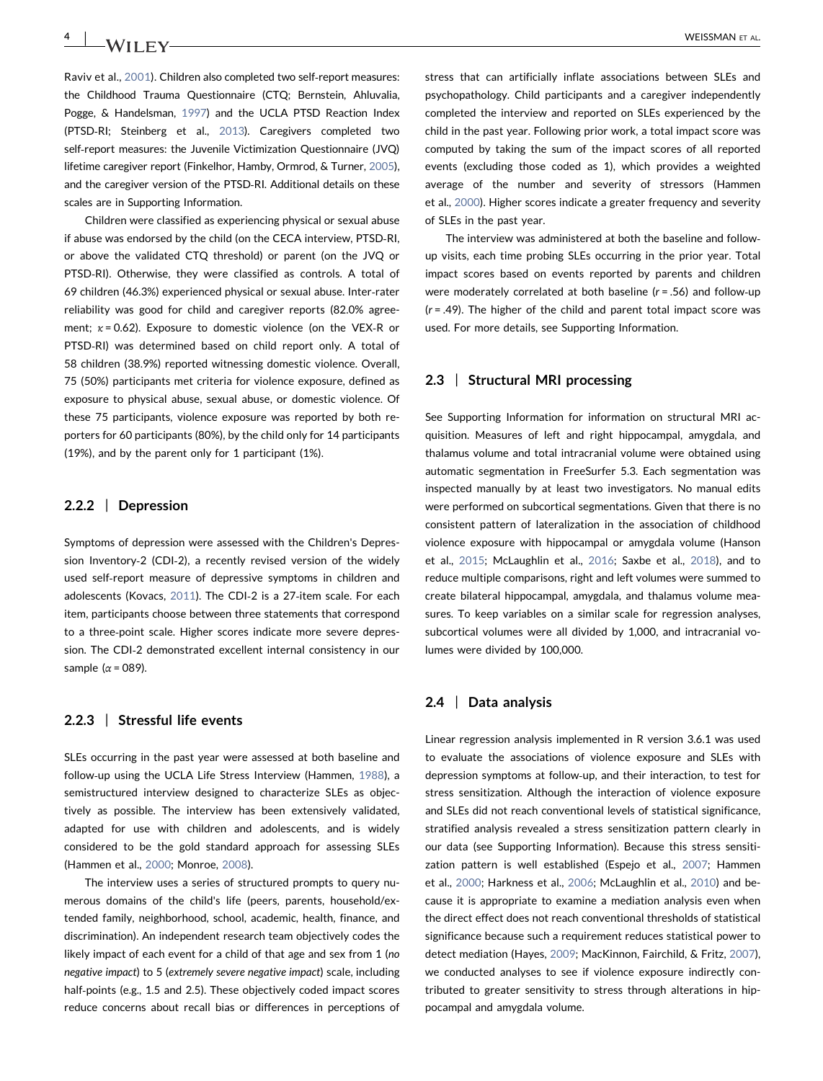Raviv et al., [2001](#page-9-0)). Children also completed two self‐report measures: the Childhood Trauma Questionnaire (CTQ; Bernstein, Ahluvalia, Pogge, & Handelsman, [1997](#page-8-0)) and the UCLA PTSD Reaction Index (PTSD‐RI; Steinberg et al., [2013\)](#page-9-0). Caregivers completed two self-report measures: the Juvenile Victimization Questionnaire (JVQ) lifetime caregiver report (Finkelhor, Hamby, Ormrod, & Turner, [2005](#page-8-0)), and the caregiver version of the PTSD‐RI. Additional details on these scales are in Supporting Information.

Children were classified as experiencing physical or sexual abuse if abuse was endorsed by the child (on the CECA interview, PTSD‐RI, or above the validated CTQ threshold) or parent (on the JVQ or PTSD‐RI). Otherwise, they were classified as controls. A total of 69 children (46.3%) experienced physical or sexual abuse. Inter‐rater reliability was good for child and caregiver reports (82.0% agreement;  $\kappa$  = 0.62). Exposure to domestic violence (on the VEX-R or PTSD‐RI) was determined based on child report only. A total of 58 children (38.9%) reported witnessing domestic violence. Overall, 75 (50%) participants met criteria for violence exposure, defined as exposure to physical abuse, sexual abuse, or domestic violence. Of these 75 participants, violence exposure was reported by both reporters for 60 participants (80%), by the child only for 14 participants (19%), and by the parent only for 1 participant (1%).

# 2.2.2 | Depression

Symptoms of depression were assessed with the Children's Depression Inventory-2 (CDI-2), a recently revised version of the widely used self‐report measure of depressive symptoms in children and adolescents (Kovacs, [2011\)](#page-8-0). The CDI‐2 is a 27‐item scale. For each item, participants choose between three statements that correspond to a three‐point scale. Higher scores indicate more severe depression. The CDI‐2 demonstrated excellent internal consistency in our sample ( $α = 089$ ).

# 2.2.3 | Stressful life events

SLEs occurring in the past year were assessed at both baseline and follow-up using the UCLA Life Stress Interview (Hammen, [1988](#page-8-0)), a semistructured interview designed to characterize SLEs as objectively as possible. The interview has been extensively validated, adapted for use with children and adolescents, and is widely considered to be the gold standard approach for assessing SLEs (Hammen et al., [2000;](#page-8-0) Monroe, [2008](#page-9-0)).

The interview uses a series of structured prompts to query numerous domains of the child's life (peers, parents, household/extended family, neighborhood, school, academic, health, finance, and discrimination). An independent research team objectively codes the likely impact of each event for a child of that age and sex from 1 (no negative impact) to 5 (extremely severe negative impact) scale, including half-points (e.g., 1.5 and 2.5). These objectively coded impact scores reduce concerns about recall bias or differences in perceptions of stress that can artificially inflate associations between SLEs and psychopathology. Child participants and a caregiver independently completed the interview and reported on SLEs experienced by the child in the past year. Following prior work, a total impact score was computed by taking the sum of the impact scores of all reported events (excluding those coded as 1), which provides a weighted average of the number and severity of stressors (Hammen et al., [2000](#page-8-0)). Higher scores indicate a greater frequency and severity of SLEs in the past year.

The interview was administered at both the baseline and follow‐ up visits, each time probing SLEs occurring in the prior year. Total impact scores based on events reported by parents and children were moderately correlated at both baseline ( $r = .56$ ) and follow-up  $(r = .49)$ . The higher of the child and parent total impact score was used. For more details, see Supporting Information.

## 2.3 | Structural MRI processing

See Supporting Information for information on structural MRI acquisition. Measures of left and right hippocampal, amygdala, and thalamus volume and total intracranial volume were obtained using automatic segmentation in FreeSurfer 5.3. Each segmentation was inspected manually by at least two investigators. No manual edits were performed on subcortical segmentations. Given that there is no consistent pattern of lateralization in the association of childhood violence exposure with hippocampal or amygdala volume (Hanson et al., [2015;](#page-8-0) McLaughlin et al., [2016](#page-9-0); Saxbe et al., [2018](#page-9-0)), and to reduce multiple comparisons, right and left volumes were summed to create bilateral hippocampal, amygdala, and thalamus volume measures. To keep variables on a similar scale for regression analyses, subcortical volumes were all divided by 1,000, and intracranial volumes were divided by 100,000.

## 2.4 | Data analysis

Linear regression analysis implemented in R version 3.6.1 was used to evaluate the associations of violence exposure and SLEs with depression symptoms at follow‐up, and their interaction, to test for stress sensitization. Although the interaction of violence exposure and SLEs did not reach conventional levels of statistical significance, stratified analysis revealed a stress sensitization pattern clearly in our data (see Supporting Information). Because this stress sensitization pattern is well established (Espejo et al., [2007](#page-8-0); Hammen et al., [2000](#page-8-0); Harkness et al., [2006](#page-8-0); McLaughlin et al., [2010](#page-8-0)) and because it is appropriate to examine a mediation analysis even when the direct effect does not reach conventional thresholds of statistical significance because such a requirement reduces statistical power to detect mediation (Hayes, [2009;](#page-8-0) MacKinnon, Fairchild, & Fritz, [2007](#page-8-0)), we conducted analyses to see if violence exposure indirectly contributed to greater sensitivity to stress through alterations in hippocampal and amygdala volume.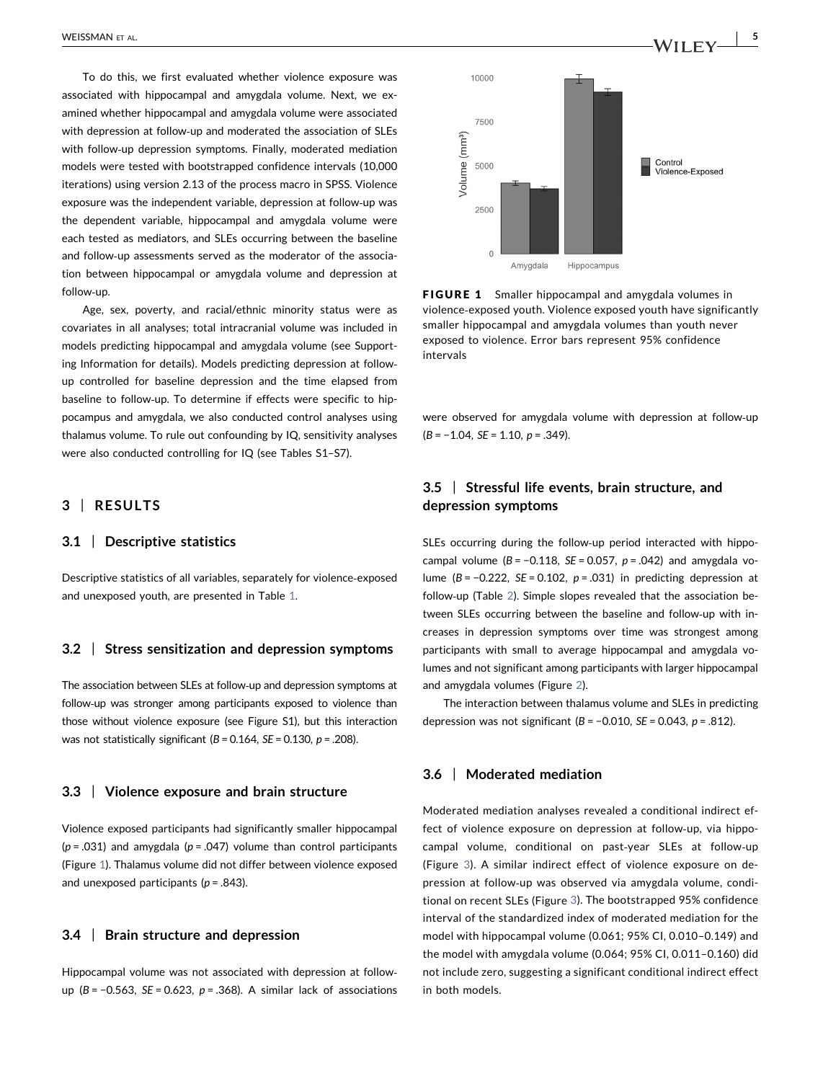To do this, we first evaluated whether violence exposure was associated with hippocampal and amygdala volume. Next, we examined whether hippocampal and amygdala volume were associated with depression at follow-up and moderated the association of SLEs with follow‐up depression symptoms. Finally, moderated mediation models were tested with bootstrapped confidence intervals (10,000 iterations) using version 2.13 of the process macro in SPSS. Violence exposure was the independent variable, depression at follow‐up was the dependent variable, hippocampal and amygdala volume were each tested as mediators, and SLEs occurring between the baseline and follow‐up assessments served as the moderator of the association between hippocampal or amygdala volume and depression at follow‐up.

Age, sex, poverty, and racial/ethnic minority status were as covariates in all analyses; total intracranial volume was included in models predicting hippocampal and amygdala volume (see Supporting Information for details). Models predicting depression at follow‐ up controlled for baseline depression and the time elapsed from baseline to follow‐up. To determine if effects were specific to hippocampus and amygdala, we also conducted control analyses using thalamus volume. To rule out confounding by IQ, sensitivity analyses were also conducted controlling for IQ (see Tables S1–S7).

# 3 | RESULTS

# 3.1 | Descriptive statistics

Descriptive statistics of all variables, separately for violence‐exposed and unexposed youth, are presented in Table [1.](#page-2-0)

## 3.2 | Stress sensitization and depression symptoms

The association between SLEs at follow‐up and depression symptoms at follow-up was stronger among participants exposed to violence than those without violence exposure (see Figure S1), but this interaction was not statistically significant ( $B = 0.164$ ,  $SE = 0.130$ ,  $p = .208$ ).

## 3.3 | Violence exposure and brain structure

Violence exposed participants had significantly smaller hippocampal  $(p = .031)$  and amygdala  $(p = .047)$  volume than control participants (Figure [1](#page-4-0)). Thalamus volume did not differ between violence exposed and unexposed participants ( $p = .843$ ).

#### 3.4 | Brain structure and depression

Hippocampal volume was not associated with depression at follow‐ up (B = −0.563, SE = 0.623, p = .368). A similar lack of associations

<span id="page-4-0"></span>

**FIGURE 1** Smaller hippocampal and amygdala volumes in violence‐exposed youth. Violence exposed youth have significantly smaller hippocampal and amygdala volumes than youth never exposed to violence. Error bars represent 95% confidence intervals

were observed for amygdala volume with depression at follow‐up  $(B = -1.04, SE = 1.10, p = .349).$ 

# 3.5 | Stressful life events, brain structure, and depression symptoms

SLEs occurring during the follow‐up period interacted with hippocampal volume ( $B = -0.118$ ,  $SE = 0.057$ ,  $p = .042$ ) and amygdala volume ( $B = -0.222$ ,  $SE = 0.102$ ,  $p = .031$ ) in predicting depression at follow-up (Table [2\)](#page-5-0). Simple slopes revealed that the association between SLEs occurring between the baseline and follow‐up with increases in depression symptoms over time was strongest among participants with small to average hippocampal and amygdala volumes and not significant among participants with larger hippocampal and amygdala volumes (Figure [2\)](#page-5-1).

The interaction between thalamus volume and SLEs in predicting depression was not significant ( $B = -0.010$ ,  $SE = 0.043$ ,  $p = .812$ ).

## 3.6 | Moderated mediation

Moderated mediation analyses revealed a conditional indirect effect of violence exposure on depression at follow‐up, via hippocampal volume, conditional on past‐year SLEs at follow‐up (Figure [3](#page-6-0)). A similar indirect effect of violence exposure on depression at follow‐up was observed via amygdala volume, conditional on recent SLEs (Figure [3\)](#page-6-0). The bootstrapped 95% confidence interval of the standardized index of moderated mediation for the model with hippocampal volume (0.061; 95% CI, 0.010–0.149) and the model with amygdala volume (0.064; 95% CI, 0.011–0.160) did not include zero, suggesting a significant conditional indirect effect in both models.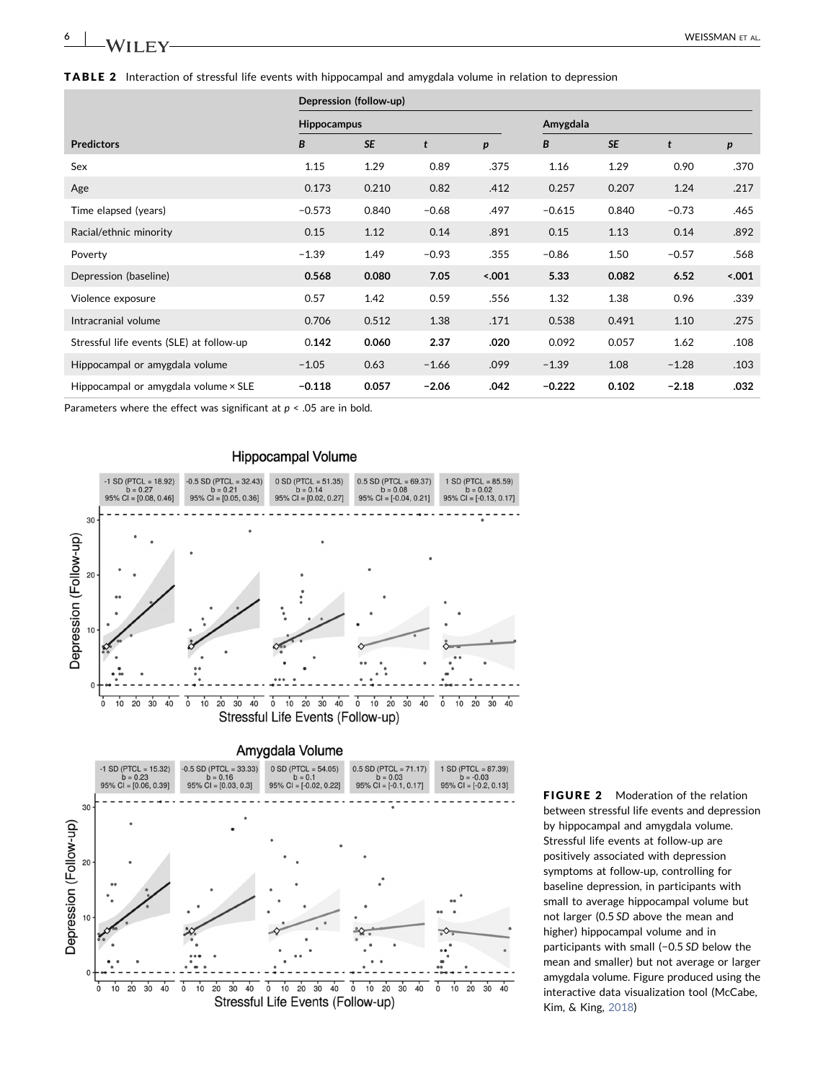| ◡<br>$\sim$ | WEISSMAN<br>AL |
|-------------|----------------|
|             |                |

<span id="page-5-0"></span>

|                                          | Depression (follow-up) |           |         |                  |          |           |         |                  |  |
|------------------------------------------|------------------------|-----------|---------|------------------|----------|-----------|---------|------------------|--|
|                                          | <b>Hippocampus</b>     |           |         |                  | Amygdala |           |         |                  |  |
| <b>Predictors</b>                        | B                      | <b>SE</b> | t       | $\boldsymbol{p}$ | В        | <b>SE</b> | t       | $\boldsymbol{p}$ |  |
| Sex                                      | 1.15                   | 1.29      | 0.89    | .375             | 1.16     | 1.29      | 0.90    | .370             |  |
| Age                                      | 0.173                  | 0.210     | 0.82    | .412             | 0.257    | 0.207     | 1.24    | .217             |  |
| Time elapsed (years)                     | $-0.573$               | 0.840     | $-0.68$ | .497             | $-0.615$ | 0.840     | $-0.73$ | .465             |  |
| Racial/ethnic minority                   | 0.15                   | 1.12      | 0.14    | .891             | 0.15     | 1.13      | 0.14    | .892             |  |
| Poverty                                  | $-1.39$                | 1.49      | $-0.93$ | .355             | $-0.86$  | 1.50      | $-0.57$ | .568             |  |
| Depression (baseline)                    | 0.568                  | 0.080     | 7.05    | 5.001            | 5.33     | 0.082     | 6.52    | 5.001            |  |
| Violence exposure                        | 0.57                   | 1.42      | 0.59    | .556             | 1.32     | 1.38      | 0.96    | .339             |  |
| Intracranial volume                      | 0.706                  | 0.512     | 1.38    | .171             | 0.538    | 0.491     | 1.10    | .275             |  |
| Stressful life events (SLE) at follow-up | 0.142                  | 0.060     | 2.37    | .020             | 0.092    | 0.057     | 1.62    | .108             |  |
| Hippocampal or amygdala volume           | $-1.05$                | 0.63      | $-1.66$ | .099             | $-1.39$  | 1.08      | $-1.28$ | .103             |  |
| Hippocampal or amygdala volume × SLE     | $-0.118$               | 0.057     | $-2.06$ | .042             | $-0.222$ | 0.102     | $-2.18$ | .032             |  |

Parameters where the effect was significant at  $p < .05$  are in bold.

 $\overline{\mathfrak{0}}$ 

 $10$ 

 $\frac{1}{20}$  $30$  $40$ 

 $40$ 

 $30$ 

 $10$  $\overline{20}$ 

 $\overline{0}$ 

<span id="page-5-1"></span>

 $0$  10 20 30 40

Stressful Life Events (Follow-up)

 $\overline{0}$ 

 $10$  $\overline{20}$  $30$  $40$   $\overline{0}$ 

 $10$ 

 $\overline{20}$  $30$  $40$ 

FIGURE 2 Moderation of the relation between stressful life events and depression by hippocampal and amygdala volume. Stressful life events at follow‐up are positively associated with depression symptoms at follow‐up, controlling for baseline depression, in participants with small to average hippocampal volume but not larger (0.5 SD above the mean and higher) hippocampal volume and in participants with small (-0.5 SD below the mean and smaller) but not average or larger amygdala volume. Figure produced using the interactive data visualization tool (McCabe, Kim, & King, [2018\)](#page-8-0)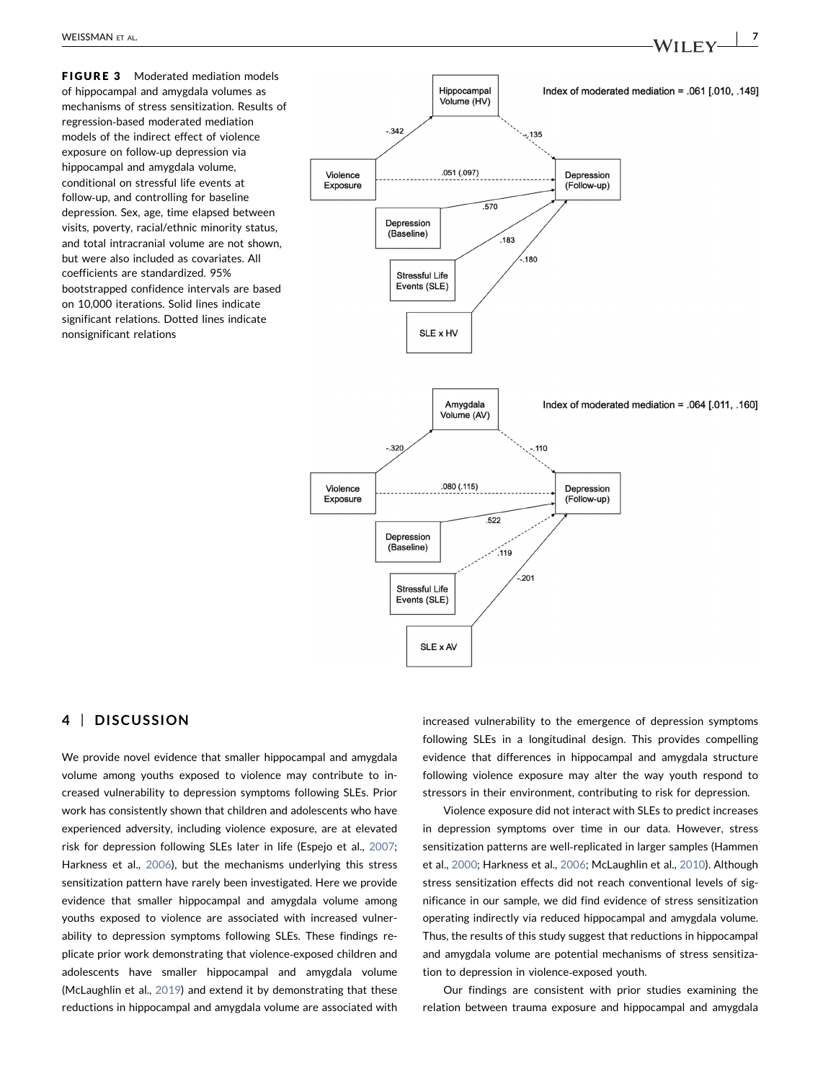<span id="page-6-0"></span>**FIGURE 3** Moderated mediation models of hippocampal and amygdala volumes as mechanisms of stress sensitization. Results of regression‐based moderated mediation models of the indirect effect of violence exposure on follow‐up depression via hippocampal and amygdala volume, conditional on stressful life events at follow‐up, and controlling for baseline depression. Sex, age, time elapsed between visits, poverty, racial/ethnic minority status, and total intracranial volume are not shown, but were also included as covariates. All coefficients are standardized. 95% bootstrapped confidence intervals are based on 10,000 iterations. Solid lines indicate significant relations. Dotted lines indicate nonsignificant relations



SLE x AV

# 4 | DISCUSSION

We provide novel evidence that smaller hippocampal and amygdala volume among youths exposed to violence may contribute to increased vulnerability to depression symptoms following SLEs. Prior work has consistently shown that children and adolescents who have experienced adversity, including violence exposure, are at elevated risk for depression following SLEs later in life (Espejo et al., [2007;](#page-8-0) Harkness et al., [2006\)](#page-8-0), but the mechanisms underlying this stress sensitization pattern have rarely been investigated. Here we provide evidence that smaller hippocampal and amygdala volume among youths exposed to violence are associated with increased vulnerability to depression symptoms following SLEs. These findings replicate prior work demonstrating that violence‐exposed children and adolescents have smaller hippocampal and amygdala volume (McLaughlin et al., [2019\)](#page-9-0) and extend it by demonstrating that these reductions in hippocampal and amygdala volume are associated with

increased vulnerability to the emergence of depression symptoms following SLEs in a longitudinal design. This provides compelling evidence that differences in hippocampal and amygdala structure following violence exposure may alter the way youth respond to stressors in their environment, contributing to risk for depression.

Violence exposure did not interact with SLEs to predict increases in depression symptoms over time in our data. However, stress sensitization patterns are well‐replicated in larger samples (Hammen et al., [2000](#page-8-0); Harkness et al., [2006](#page-8-0); McLaughlin et al., [2010](#page-8-0)). Although stress sensitization effects did not reach conventional levels of significance in our sample, we did find evidence of stress sensitization operating indirectly via reduced hippocampal and amygdala volume. Thus, the results of this study suggest that reductions in hippocampal and amygdala volume are potential mechanisms of stress sensitization to depression in violence‐exposed youth.

Our findings are consistent with prior studies examining the relation between trauma exposure and hippocampal and amygdala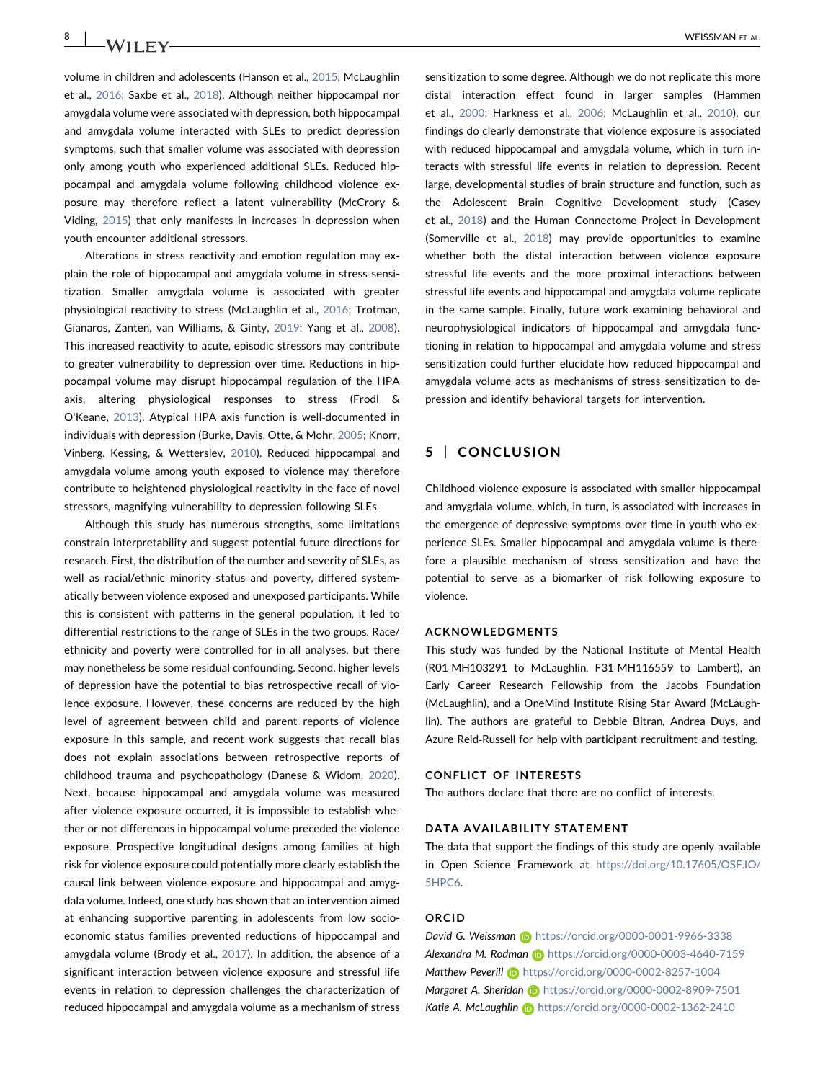volume in children and adolescents (Hanson et al., [2015](#page-8-0); McLaughlin et al., [2016;](#page-9-0) Saxbe et al., [2018](#page-9-0)). Although neither hippocampal nor amygdala volume were associated with depression, both hippocampal and amygdala volume interacted with SLEs to predict depression symptoms, such that smaller volume was associated with depression only among youth who experienced additional SLEs. Reduced hippocampal and amygdala volume following childhood violence exposure may therefore reflect a latent vulnerability (McCrory & Viding, [2015\)](#page-8-0) that only manifests in increases in depression when

youth encounter additional stressors.

Alterations in stress reactivity and emotion regulation may explain the role of hippocampal and amygdala volume in stress sensitization. Smaller amygdala volume is associated with greater physiological reactivity to stress (McLaughlin et al., [2016](#page-9-0); Trotman, Gianaros, Zanten, van Williams, & Ginty, [2019;](#page-9-0) Yang et al., [2008](#page-9-0)). This increased reactivity to acute, episodic stressors may contribute to greater vulnerability to depression over time. Reductions in hippocampal volume may disrupt hippocampal regulation of the HPA axis, altering physiological responses to stress (Frodl & O'Keane, [2013\)](#page-8-0). Atypical HPA axis function is well‐documented in individuals with depression (Burke, Davis, Otte, & Mohr, [2005;](#page-8-0) Knorr, Vinberg, Kessing, & Wetterslev, [2010](#page-8-0)). Reduced hippocampal and amygdala volume among youth exposed to violence may therefore contribute to heightened physiological reactivity in the face of novel stressors, magnifying vulnerability to depression following SLEs.

Although this study has numerous strengths, some limitations constrain interpretability and suggest potential future directions for research. First, the distribution of the number and severity of SLEs, as well as racial/ethnic minority status and poverty, differed systematically between violence exposed and unexposed participants. While this is consistent with patterns in the general population, it led to differential restrictions to the range of SLEs in the two groups. Race/ ethnicity and poverty were controlled for in all analyses, but there may nonetheless be some residual confounding. Second, higher levels of depression have the potential to bias retrospective recall of violence exposure. However, these concerns are reduced by the high level of agreement between child and parent reports of violence exposure in this sample, and recent work suggests that recall bias does not explain associations between retrospective reports of childhood trauma and psychopathology (Danese & Widom, [2020](#page-8-0)). Next, because hippocampal and amygdala volume was measured after violence exposure occurred, it is impossible to establish whether or not differences in hippocampal volume preceded the violence exposure. Prospective longitudinal designs among families at high risk for violence exposure could potentially more clearly establish the causal link between violence exposure and hippocampal and amygdala volume. Indeed, one study has shown that an intervention aimed at enhancing supportive parenting in adolescents from low socioeconomic status families prevented reductions of hippocampal and amygdala volume (Brody et al., [2017\)](#page-8-0). In addition, the absence of a significant interaction between violence exposure and stressful life events in relation to depression challenges the characterization of reduced hippocampal and amygdala volume as a mechanism of stress

sensitization to some degree. Although we do not replicate this more distal interaction effect found in larger samples (Hammen et al., [2000;](#page-8-0) Harkness et al., [2006;](#page-8-0) McLaughlin et al., [2010](#page-8-0)), our findings do clearly demonstrate that violence exposure is associated with reduced hippocampal and amygdala volume, which in turn interacts with stressful life events in relation to depression. Recent large, developmental studies of brain structure and function, such as the Adolescent Brain Cognitive Development study (Casey et al., [2018\)](#page-8-0) and the Human Connectome Project in Development (Somerville et al., [2018](#page-9-0)) may provide opportunities to examine whether both the distal interaction between violence exposure stressful life events and the more proximal interactions between stressful life events and hippocampal and amygdala volume replicate in the same sample. Finally, future work examining behavioral and neurophysiological indicators of hippocampal and amygdala functioning in relation to hippocampal and amygdala volume and stress sensitization could further elucidate how reduced hippocampal and amygdala volume acts as mechanisms of stress sensitization to depression and identify behavioral targets for intervention.

# 5 | CONCLUSION

Childhood violence exposure is associated with smaller hippocampal and amygdala volume, which, in turn, is associated with increases in the emergence of depressive symptoms over time in youth who experience SLEs. Smaller hippocampal and amygdala volume is therefore a plausible mechanism of stress sensitization and have the potential to serve as a biomarker of risk following exposure to violence.

#### ACKNOWLEDGMENTS

This study was funded by the National Institute of Mental Health (R01‐MH103291 to McLaughlin, F31‐MH116559 to Lambert), an Early Career Research Fellowship from the Jacobs Foundation (McLaughlin), and a OneMind Institute Rising Star Award (McLaughlin). The authors are grateful to Debbie Bitran, Andrea Duys, and Azure Reid‐Russell for help with participant recruitment and testing.

#### CONFLICT OF INTERESTS

The authors declare that there are no conflict of interests.

#### DATA AVAILABILITY STATEMENT

The data that support the findings of this study are openly available in Open Science Framework at [https://doi.org/10.17605/OSF.IO/](https://doi.org/10.17605/OSF.IO/5HPC6) [5HPC6](https://doi.org/10.17605/OSF.IO/5HPC6).

#### **ORCID**

David G. Weissman (D <https://orcid.org/0000-0001-9966-3338> Alexandra M. Rodman D<https://orcid.org/0000-0003-4640-7159> Matthew Peverill **b** <https://orcid.org/0000-0002-8257-1004> Margaret A. Sheridan (b) <https://orcid.org/0000-0002-8909-7501> Katie A. McLaughlin **b** <https://orcid.org/0000-0002-1362-2410>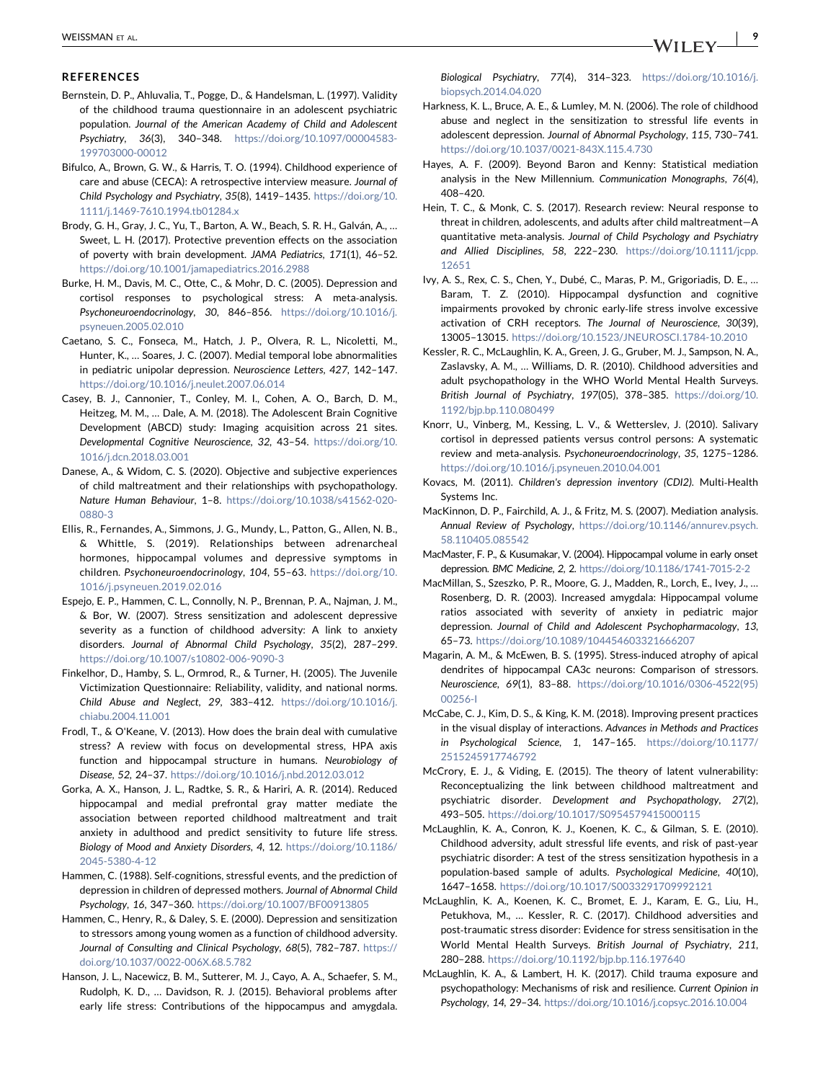#### <span id="page-8-0"></span>**REFERENCES**

- Bernstein, D. P., Ahluvalia, T., Pogge, D., & Handelsman, L. (1997). Validity of the childhood trauma questionnaire in an adolescent psychiatric population. Journal of the American Academy of Child and Adolescent Psychiatry, 36(3), 340–348. [https://doi.org/10.1097/00004583-](https://doi.org/10.1097/00004583-199703000-00012) [199703000-00012](https://doi.org/10.1097/00004583-199703000-00012)
- Bifulco, A., Brown, G. W., & Harris, T. O. (1994). Childhood experience of care and abuse (CECA): A retrospective interview measure. Journal of Child Psychology and Psychiatry, 35(8), 1419–1435. [https://doi.org/10.](https://doi.org/10.1111/j.1469-7610.1994.tb01284.x) [1111/j.1469-7610.1994.tb01284.x](https://doi.org/10.1111/j.1469-7610.1994.tb01284.x)
- Brody, G. H., Gray, J. C., Yu, T., Barton, A. W., Beach, S. R. H., Galván, A., … Sweet, L. H. (2017). Protective prevention effects on the association of poverty with brain development. JAMA Pediatrics, 171(1), 46–52. <https://doi.org/10.1001/jamapediatrics.2016.2988>
- Burke, H. M., Davis, M. C., Otte, C., & Mohr, D. C. (2005). Depression and cortisol responses to psychological stress: A meta‐analysis. Psychoneuroendocrinology, 30, 846-856. [https://doi.org/10.1016/j.](https://doi.org/10.1016/j.psyneuen.2005.02.010) [psyneuen.2005.02.010](https://doi.org/10.1016/j.psyneuen.2005.02.010)
- Caetano, S. C., Fonseca, M., Hatch, J. P., Olvera, R. L., Nicoletti, M., Hunter, K., … Soares, J. C. (2007). Medial temporal lobe abnormalities in pediatric unipolar depression. Neuroscience Letters, 427, 142–147. <https://doi.org/10.1016/j.neulet.2007.06.014>
- Casey, B. J., Cannonier, T., Conley, M. I., Cohen, A. O., Barch, D. M., Heitzeg, M. M., … Dale, A. M. (2018). The Adolescent Brain Cognitive Development (ABCD) study: Imaging acquisition across 21 sites. Developmental Cognitive Neuroscience, 32, 43–54. [https://doi.org/10.](https://doi.org/10.1016/j.dcn.2018.03.001) [1016/j.dcn.2018.03.001](https://doi.org/10.1016/j.dcn.2018.03.001)
- Danese, A., & Widom, C. S. (2020). Objective and subjective experiences of child maltreatment and their relationships with psychopathology. Nature Human Behaviour, 1–8. [https://doi.org/10.1038/s41562-020-](https://doi.org/10.1038/s41562-020-0880-3) [0880-3](https://doi.org/10.1038/s41562-020-0880-3)
- Ellis, R., Fernandes, A., Simmons, J. G., Mundy, L., Patton, G., Allen, N. B., & Whittle, S. (2019). Relationships between adrenarcheal hormones, hippocampal volumes and depressive symptoms in children. Psychoneuroendocrinology, 104, 55–63. [https://doi.org/10.](https://doi.org/10.1016/j.psyneuen.2019.02.016) [1016/j.psyneuen.2019.02.016](https://doi.org/10.1016/j.psyneuen.2019.02.016)
- Espejo, E. P., Hammen, C. L., Connolly, N. P., Brennan, P. A., Najman, J. M., & Bor, W. (2007). Stress sensitization and adolescent depressive severity as a function of childhood adversity: A link to anxiety disorders. Journal of Abnormal Child Psychology, 35(2), 287–299. <https://doi.org/10.1007/s10802-006-9090-3>
- Finkelhor, D., Hamby, S. L., Ormrod, R., & Turner, H. (2005). The Juvenile Victimization Questionnaire: Reliability, validity, and national norms. Child Abuse and Neglect, 29, 383–412. [https://doi.org/10.1016/j.](https://doi.org/10.1016/j.chiabu.2004.11.001) [chiabu.2004.11.001](https://doi.org/10.1016/j.chiabu.2004.11.001)
- Frodl, T., & O'Keane, V. (2013). How does the brain deal with cumulative stress? A review with focus on developmental stress, HPA axis function and hippocampal structure in humans. Neurobiology of Disease, 52, 24–37. <https://doi.org/10.1016/j.nbd.2012.03.012>
- Gorka, A. X., Hanson, J. L., Radtke, S. R., & Hariri, A. R. (2014). Reduced hippocampal and medial prefrontal gray matter mediate the association between reported childhood maltreatment and trait anxiety in adulthood and predict sensitivity to future life stress. Biology of Mood and Anxiety Disorders, 4, 12. [https://doi.org/10.1186/](https://doi.org/10.1186/2045-5380-4-12) [2045-5380-4-12](https://doi.org/10.1186/2045-5380-4-12)
- Hammen, C. (1988). Self‐cognitions, stressful events, and the prediction of depression in children of depressed mothers. Journal of Abnormal Child Psychology, 16, 347–360. <https://doi.org/10.1007/BF00913805>
- Hammen, C., Henry, R., & Daley, S. E. (2000). Depression and sensitization to stressors among young women as a function of childhood adversity. Journal of Consulting and Clinical Psychology, 68(5), 782–787. [https://](https://doi.org/10.1037/0022-006X.68.5.782) [doi.org/10.1037/0022-006X.68.5.782](https://doi.org/10.1037/0022-006X.68.5.782)
- Hanson, J. L., Nacewicz, B. M., Sutterer, M. J., Cayo, A. A., Schaefer, S. M., Rudolph, K. D., … Davidson, R. J. (2015). Behavioral problems after early life stress: Contributions of the hippocampus and amygdala.
- Harkness, K. L., Bruce, A. E., & Lumley, M. N. (2006). The role of childhood abuse and neglect in the sensitization to stressful life events in adolescent depression. Journal of Abnormal Psychology, 115, 730–741. <https://doi.org/10.1037/0021-843X.115.4.730>
- Hayes, A. F. (2009). Beyond Baron and Kenny: Statistical mediation analysis in the New Millennium. Communication Monographs, 76(4), 408–420.
- Hein, T. C., & Monk, C. S. (2017). Research review: Neural response to threat in children, adolescents, and adults after child maltreatment—A quantitative meta‐analysis. Journal of Child Psychology and Psychiatry and Allied Disciplines, 58, 222–230. [https://doi.org/10.1111/jcpp.](https://doi.org/10.1111/jcpp.12651) [12651](https://doi.org/10.1111/jcpp.12651)
- Ivy, A. S., Rex, C. S., Chen, Y., Dubé, C., Maras, P. M., Grigoriadis, D. E., … Baram, T. Z. (2010). Hippocampal dysfunction and cognitive impairments provoked by chronic early‐life stress involve excessive activation of CRH receptors. The Journal of Neuroscience, 30(39), 13005–13015. <https://doi.org/10.1523/JNEUROSCI.1784-10.2010>
- Kessler, R. C., McLaughlin, K. A., Green, J. G., Gruber, M. J., Sampson, N. A., Zaslavsky, A. M., … Williams, D. R. (2010). Childhood adversities and adult psychopathology in the WHO World Mental Health Surveys. British Journal of Psychiatry, 197(05), 378–385. [https://doi.org/10.](https://doi.org/10.1192/bjp.bp.110.080499) [1192/bjp.bp.110.080499](https://doi.org/10.1192/bjp.bp.110.080499)
- Knorr, U., Vinberg, M., Kessing, L. V., & Wetterslev, J. (2010). Salivary cortisol in depressed patients versus control persons: A systematic review and meta-analysis. Psychoneuroendocrinology, 35, 1275-1286. <https://doi.org/10.1016/j.psyneuen.2010.04.001>
- Kovacs, M. (2011). Children's depression inventory (CDI2). Multi-Health Systems Inc.
- MacKinnon, D. P., Fairchild, A. J., & Fritz, M. S. (2007). Mediation analysis. Annual Review of Psychology, [https://doi.org/10.1146/annurev.psych.](https://doi.org/10.1146/annurev.psych.58.110405.085542) [58.110405.085542](https://doi.org/10.1146/annurev.psych.58.110405.085542)
- MacMaster, F. P., & Kusumakar, V. (2004). Hippocampal volume in early onset depression. BMC Medicine, 2, 2. <https://doi.org/10.1186/1741-7015-2-2>
- MacMillan, S., Szeszko, P. R., Moore, G. J., Madden, R., Lorch, E., Ivey, J., … Rosenberg, D. R. (2003). Increased amygdala: Hippocampal volume ratios associated with severity of anxiety in pediatric major depression. Journal of Child and Adolescent Psychopharmacology, 13, 65–73. <https://doi.org/10.1089/104454603321666207>
- Magarin, A. M., & McEwen, B. S. (1995). Stress‐induced atrophy of apical dendrites of hippocampal CA3c neurons: Comparison of stressors. Neuroscience, 69(1), 83–88. [https://doi.org/10.1016/0306-4522\(95\)](https://doi.org/10.1016/0306-4522(95)00256-I) [00256-I](https://doi.org/10.1016/0306-4522(95)00256-I)
- McCabe, C. J., Kim, D. S., & King, K. M. (2018). Improving present practices in the visual display of interactions. Advances in Methods and Practices in Psychological Science, 1, 147–165. [https://doi.org/10.1177/](https://doi.org/10.1177/2515245917746792) [2515245917746792](https://doi.org/10.1177/2515245917746792)
- McCrory, E. J., & Viding, E. (2015). The theory of latent vulnerability: Reconceptualizing the link between childhood maltreatment and psychiatric disorder. Development and Psychopathology, 27(2), 493–505. <https://doi.org/10.1017/S0954579415000115>
- McLaughlin, K. A., Conron, K. J., Koenen, K. C., & Gilman, S. E. (2010). Childhood adversity, adult stressful life events, and risk of past‐year psychiatric disorder: A test of the stress sensitization hypothesis in a population‐based sample of adults. Psychological Medicine, 40(10), 1647–1658. <https://doi.org/10.1017/S0033291709992121>
- McLaughlin, K. A., Koenen, K. C., Bromet, E. J., Karam, E. G., Liu, H., Petukhova, M., … Kessler, R. C. (2017). Childhood adversities and post-traumatic stress disorder: Evidence for stress sensitisation in the World Mental Health Surveys. British Journal of Psychiatry, 211, 280–288. <https://doi.org/10.1192/bjp.bp.116.197640>
- McLaughlin, K. A., & Lambert, H. K. (2017). Child trauma exposure and psychopathology: Mechanisms of risk and resilience. Current Opinion in Psychology, 14, 29–34. <https://doi.org/10.1016/j.copsyc.2016.10.004>